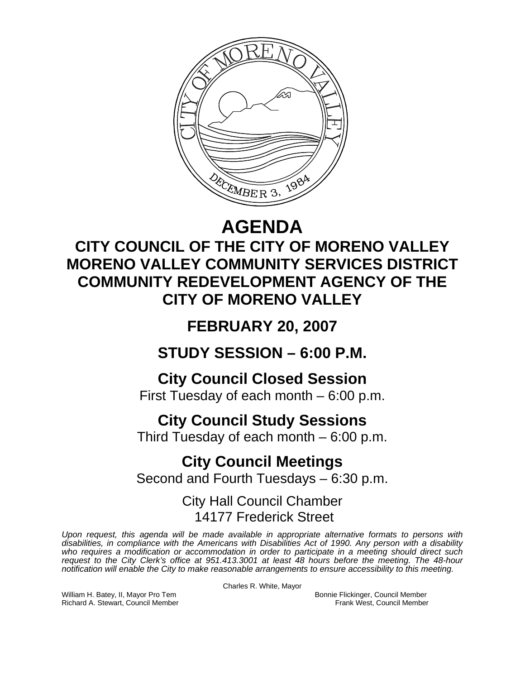

# **AGENDA**

## **CITY COUNCIL OF THE CITY OF MORENO VALLEY MORENO VALLEY COMMUNITY SERVICES DISTRICT COMMUNITY REDEVELOPMENT AGENCY OF THE CITY OF MORENO VALLEY**

## **FEBRUARY 20, 2007**

**STUDY SESSION – 6:00 P.M.** 

**City Council Closed Session** 

First Tuesday of each month – 6:00 p.m.

# **City Council Study Sessions**

Third Tuesday of each month – 6:00 p.m.

### **City Council Meetings**  Second and Fourth Tuesdays – 6:30 p.m.

City Hall Council Chamber 14177 Frederick Street

*Upon request, this agenda will be made available in appropriate alternative formats to persons with disabilities, in compliance with the Americans with Disabilities Act of 1990. Any person with a disability*  who requires a modification or accommodation in order to participate in a meeting should direct such *request to the City Clerk's office at 951.413.3001 at least 48 hours before the meeting. The 48-hour notification will enable the City to make reasonable arrangements to ensure accessibility to this meeting.* 

Charles R. White, Mayor

William H. Batey, II, Mayor Pro Tem **Bonnie Flickinger, Council Member**<br>Richard A. Stewart, Council Member **Bonnie Flickinger, Council Member** Richard A. Stewart, Council Member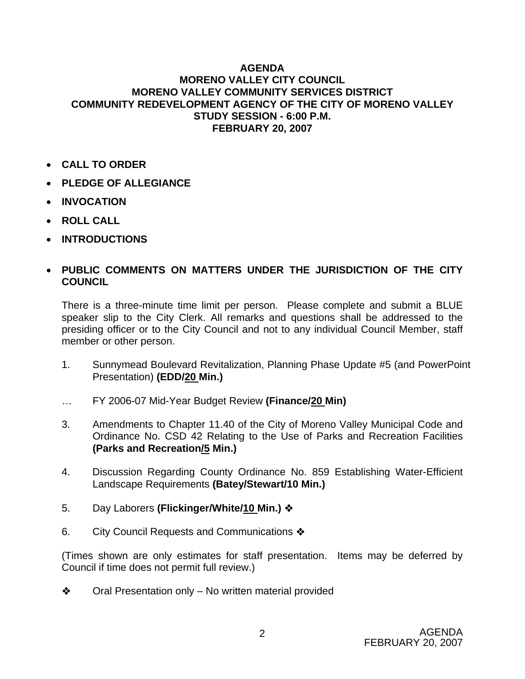#### **AGENDA MORENO VALLEY CITY COUNCIL MORENO VALLEY COMMUNITY SERVICES DISTRICT COMMUNITY REDEVELOPMENT AGENCY OF THE CITY OF MORENO VALLEY STUDY SESSION - 6:00 P.M. FEBRUARY 20, 2007**

- **CALL TO ORDER**
- **PLEDGE OF ALLEGIANCE**
- **INVOCATION**
- **ROLL CALL**
- **INTRODUCTIONS**

### • **PUBLIC COMMENTS ON MATTERS UNDER THE JURISDICTION OF THE CITY COUNCIL**

There is a three-minute time limit per person. Please complete and submit a BLUE speaker slip to the City Clerk. All remarks and questions shall be addressed to the presiding officer or to the City Council and not to any individual Council Member, staff member or other person.

- 1. Sunnymead Boulevard Revitalization, Planning Phase Update #5 (and PowerPoint Presentation) **(EDD/20 Min.)**
- … FY 2006-07 Mid-Year Budget Review **(Finance/20 Min)**
- 3. Amendments to Chapter 11.40 of the City of Moreno Valley Municipal Code and Ordinance No. CSD 42 Relating to the Use of Parks and Recreation Facilities **(Parks and Recreation/5 Min.)**
- 4. Discussion Regarding County Ordinance No. 859 Establishing Water-Efficient Landscape Requirements **(Batey/Stewart/10 Min.)**
- 5. Day Laborers **(Flickinger/White/10 Min.)**
- 6. City Council Requests and Communications  $\clubsuit$

(Times shown are only estimates for staff presentation. Items may be deferred by Council if time does not permit full review.)

 $\triangleleft$  Oral Presentation only – No written material provided